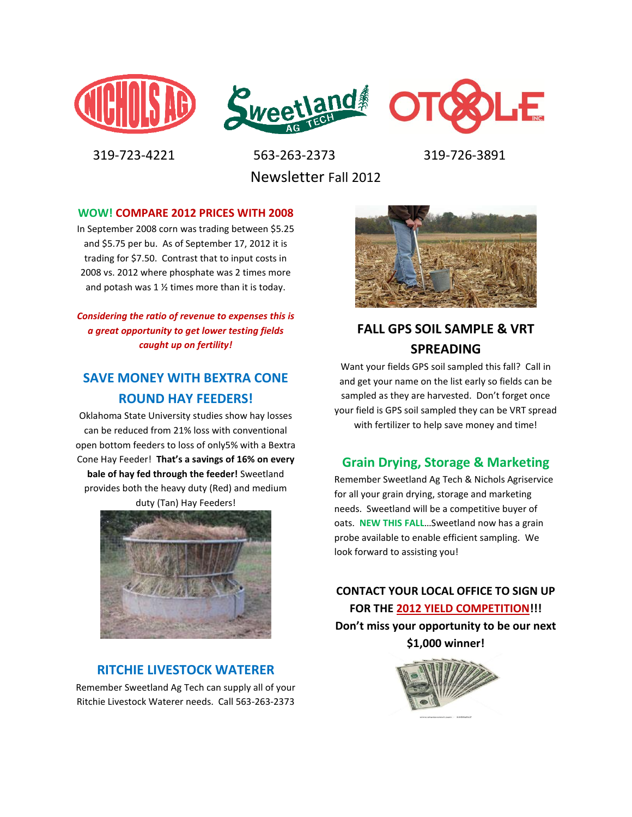



 319-723-4221 563-263-2373 319-726-3891 Newsletter Fall 2012

#### **WOW! COMPARE 2012 PRICES WITH 2008**

In September 2008 corn was trading between \$5.25 and \$5.75 per bu. As of September 17, 2012 it is trading for \$7.50. Contrast that to input costs in 2008 vs. 2012 where phosphate was 2 times more and potash was 1 ½ times more than it is today.

*Considering the ratio of revenue to expenses this is a great opportunity to get lower testing fields caught up on fertility!*

## **SAVE MONEY WITH BEXTRA CONE ROUND HAY FEEDERS!**

Oklahoma State University studies show hay losses can be reduced from 21% loss with conventional open bottom feeders to loss of only5% with a Bextra Cone Hay Feeder! **That's a savings of 16% on every bale of hay fed through the feeder!** Sweetland provides both the heavy duty (Red) and medium duty (Tan) Hay Feeders!



#### **RITCHIE LIVESTOCK WATERER**

Remember Sweetland Ag Tech can supply all of your Ritchie Livestock Waterer needs. Call 563-263-2373



# **FALL GPS SOIL SAMPLE & VRT SPREADING**

Want your fields GPS soil sampled this fall? Call in and get your name on the list early so fields can be sampled as they are harvested. Don't forget once your field is GPS soil sampled they can be VRT spread with fertilizer to help save money and time!

#### **Grain Drying, Storage & Marketing**

Remember Sweetland Ag Tech & Nichols Agriservice for all your grain drying, storage and marketing needs. Sweetland will be a competitive buyer of oats. **NEW THIS FALL**…Sweetland now has a grain probe available to enable efficient sampling. We look forward to assisting you!

**CONTACT YOUR LOCAL OFFICE TO SIGN UP FOR THE 2012 YIELD COMPETITION!!! Don't miss your opportunity to be our next \$1,000 winner!**